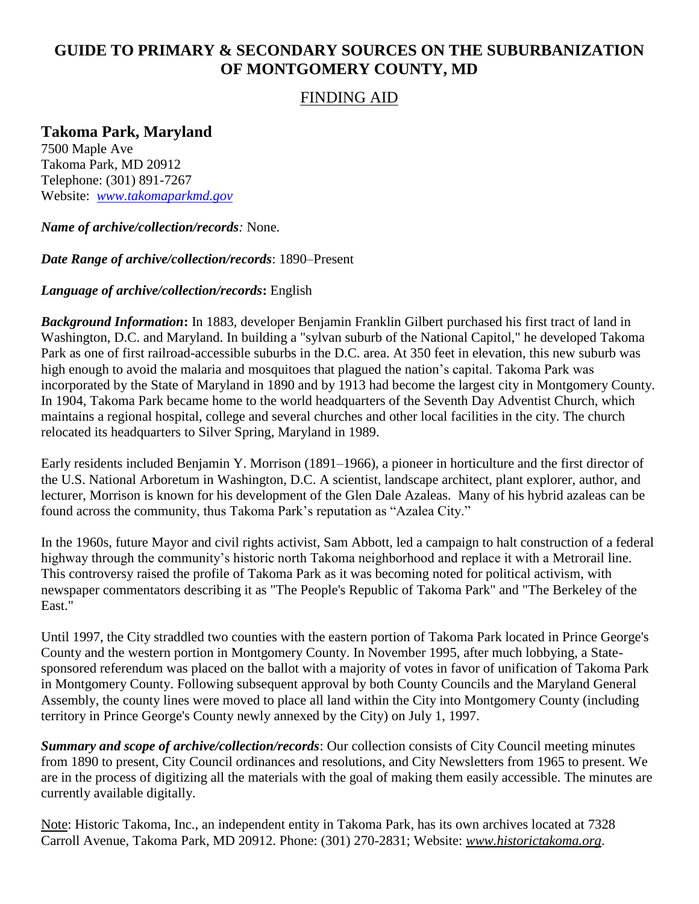# **GUIDE TO PRIMARY & SECONDARY SOURCES ON THE SUBURBANIZATION OF MONTGOMERY COUNTY, MD**

### FINDING AID

## **Takoma Park, Maryland**

7500 Maple Ave Takoma Park, MD 20912 Telephone: (301) 891-7267 Website: *[www.takomaparkmd.gov](http://www.takomaparkmd.gov/)*

### *Name of archive/collection/records:* None.

#### *Date Range of archive/collection/records*: 1890–Present

### *Language of archive/collection/records***:** English

*Background Information***:** In 1883, developer Benjamin Franklin Gilbert purchased his first tract of land in Washington, D.C. and Maryland. In building a "sylvan suburb of the National Capitol," he developed Takoma Park as one of first railroad-accessible suburbs in the D.C. area. At 350 feet in elevation, this new suburb was high enough to avoid the malaria and mosquitoes that plagued the nation's capital. Takoma Park was incorporated by the State of Maryland in 1890 and by 1913 had become the largest city in Montgomery County. In 1904, Takoma Park became home to the world headquarters of the Seventh Day Adventist Church, which maintains a regional hospital, college and several churches and other local facilities in the city. The church relocated its headquarters to Silver Spring, Maryland in 1989.

Early residents included Benjamin Y. Morrison (1891–1966), a pioneer in horticulture and the first director of the U.S. National Arboretum in Washington, D.C. A scientist, landscape architect, plant explorer, author, and lecturer, Morrison is known for his development of the Glen Dale Azaleas. Many of his hybrid azaleas can be found across the community, thus Takoma Park's reputation as "Azalea City."

In the 1960s, future Mayor and civil rights activist, Sam Abbott, led a campaign to halt construction of a federal highway through the community's historic north Takoma neighborhood and replace it with a Metrorail line. This controversy raised the profile of Takoma Park as it was becoming noted for political activism, with newspaper commentators describing it as "The People's Republic of Takoma Park" and "The Berkeley of the East."

Until 1997, the City straddled two counties with the eastern portion of Takoma Park located in Prince George's County and the western portion in Montgomery County. In November 1995, after much lobbying, a Statesponsored referendum was placed on the ballot with a majority of votes in favor of unification of Takoma Park in Montgomery County. Following subsequent approval by both County Councils and the Maryland General Assembly, the county lines were moved to place all land within the City into Montgomery County (including territory in Prince George's County newly annexed by the City) on July 1, 1997.

*Summary and scope of archive/collection/records*: Our collection consists of City Council meeting minutes from 1890 to present, City Council ordinances and resolutions, and City Newsletters from 1965 to present. We are in the process of digitizing all the materials with the goal of making them easily accessible. The minutes are currently available digitally.

Note: Historic Takoma, Inc., an independent entity in Takoma Park, has its own archives located at 7328 Carroll Avenue, Takoma Park, MD 20912. Phone: (301) 270-2831; Website: *www.historictakoma.org*.